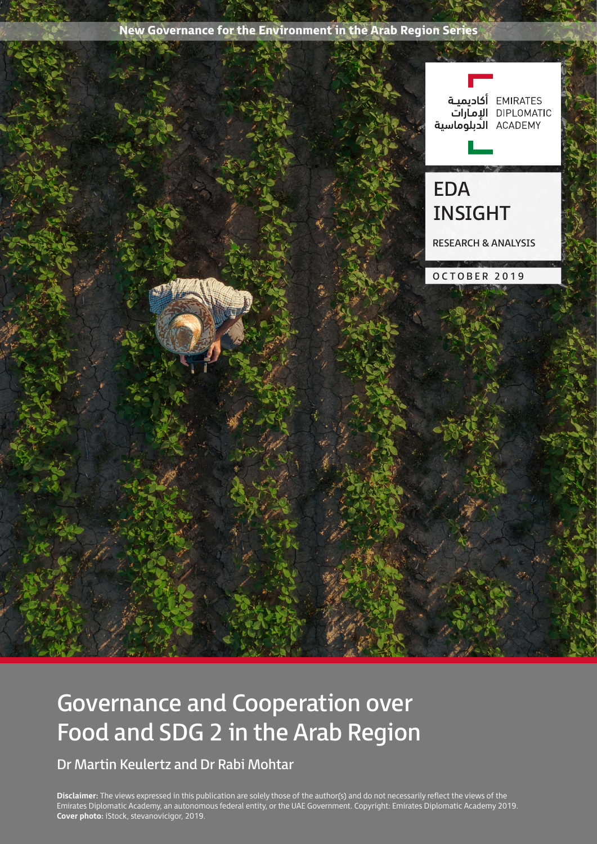New Governance for the Environment in the Arab Region Series

EMIRATES أكاديمية DIPLOMATIC الإمارات ACADEMY **الدبلوماسية** 

Food and SDG 2 Governance

# EDA INSIGHT RESEARCH & ANALYSIS

OCTOBER 2019

# Governance and Cooperation over Food and SDG 2 in the Arab Region

Dr Martin Keulertz and Dr Rabi Mohtar

**Disclaimer:** The views expressed in this publication are solely those of the author(s) and do not necessarily reflect the views of the Emirates Diplomatic Academy, an autonomous federal entity, or the UAE Government. Copyright: Emirates Diplomatic Academy 2019. **Cover photo:** iStock, stevanovicigor, 2019.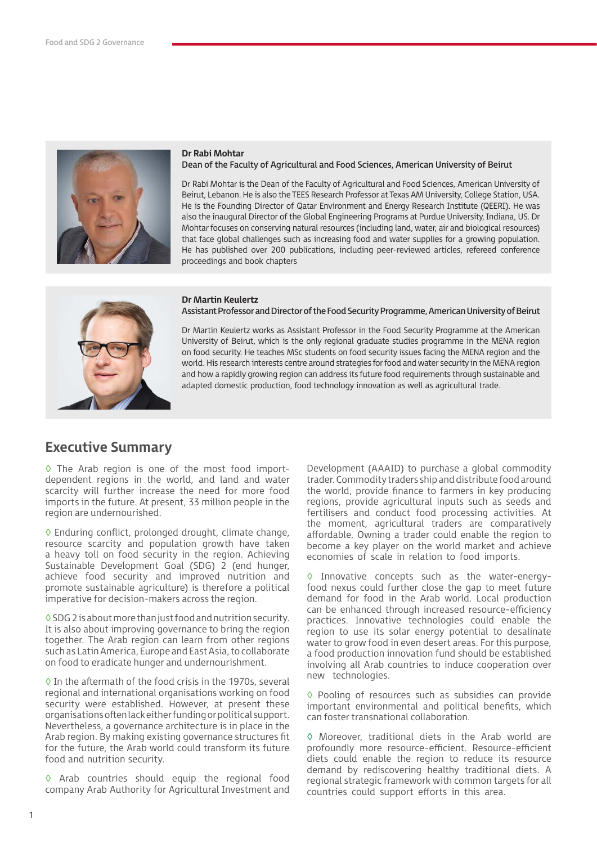

### **Dr Rabi Mohtar** Dean of the Faculty of Agricultural and Food Sciences, American University of Beirut

Dr Rabi Mohtar is the Dean of the Faculty of Agricultural and Food Sciences, American University of Beirut, Lebanon. He is also the TEES Research Professor at Texas AM University, College Station, USA. He is the Founding Director of Qatar Environment and Energy Research Institute (QEERI). He was also the inaugural Director of the Global Engineering Programs at Purdue University, Indiana, US. Dr Mohtar focuses on conserving natural resources (including land, water, air and biological resources) that face global challenges such as increasing food and water supplies for a growing population. He has published over 200 publications, including peer-reviewed articles, refereed conference proceedings and book chapters



### **Dr Martin Keulertz**

### Assistant Professor and Director of the Food Security Programme, American University of Beirut

Dr Martin Keulertz works as Assistant Professor in the Food Security Programme at the American University of Beirut, which is the only regional graduate studies programme in the MENA region on food security. He teaches MSc students on food security issues facing the MENA region and the world. His research interests centre around strategies for food and water security in the MENA region and how a rapidly growing region can address its future food requirements through sustainable and adapted domestic production, food technology innovation as well as agricultural trade.

## **Executive Summary**

◊ The Arab region is one of the most food importdependent regions in the world, and land and water scarcity will further increase the need for more food imports in the future. At present, 33 million people in the region are undernourished.

◊ Enduring conflict, prolonged drought, climate change, resource scarcity and population growth have taken a heavy toll on food security in the region. Achieving Sustainable Development Goal (SDG) 2 (end hunger, achieve food security and improved nutrition and promote sustainable agriculture) is therefore a political imperative for decision-makers across the region.

◊ SDG 2 is about more than just food and nutrition security. It is also about improving governance to bring the region together. The Arab region can learn from other regions such as Latin America, Europe and East Asia, to collaborate on food to eradicate hunger and undernourishment.

◊ In the aftermath of the food crisis in the 1970s, several regional and international organisations working on food security were established. However, at present these organisations often lack either funding or political support. Nevertheless, a governance architecture is in place in the Arab region. By making existing governance structures fit for the future, the Arab world could transform its future food and nutrition security.

◊ Arab countries should equip the regional food company Arab Authority for Agricultural Investment and Development (AAAID) to purchase a global commodity trader. Commodity traders ship and distribute food around the world, provide finance to farmers in key producing regions, provide agricultural inputs such as seeds and fertilisers and conduct food processing activities. At the moment, agricultural traders are comparatively affordable. Owning a trader could enable the region to become a key player on the world market and achieve economies of scale in relation to food imports.

◊ Innovative concepts such as the water-energyfood nexus could further close the gap to meet future demand for food in the Arab world. Local production can be enhanced through increased resource-efficiency practices. Innovative technologies could enable the region to use its solar energy potential to desalinate water to grow food in even desert areas. For this purpose, a food production innovation fund should be established involving all Arab countries to induce cooperation over new technologies.

◊ Pooling of resources such as subsidies can provide important environmental and political benefits, which can foster transnational collaboration.

◊ Moreover, traditional diets in the Arab world are profoundly more resource-efficient. Resource-efficient diets could enable the region to reduce its resource demand by rediscovering healthy traditional diets. A regional strategic framework with common targets for all countries could support efforts in this area.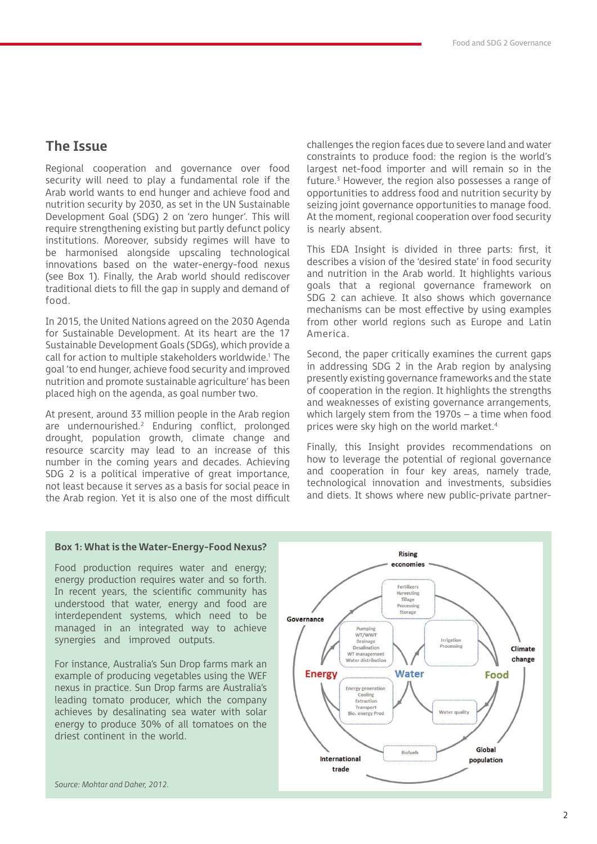# **The Issue**

Regional cooperation and governance over food security will need to play a fundamental role if the Arab world wants to end hunger and achieve food and nutrition security by 2030, as set in the UN Sustainable Development Goal (SDG) 2 on 'zero hunger'. This will require strengthening existing but partly defunct policy institutions. Moreover, subsidy regimes will have to be harmonised alongside upscaling technological innovations based on the water-energy-food nexus (see Box 1). Finally, the Arab world should rediscover traditional diets to fill the gap in supply and demand of food.

In 2015, the United Nations agreed on the 2030 Agenda for Sustainable Development. At its heart are the 17 Sustainable Development Goals (SDGs), which provide a call for action to multiple stakeholders worldwide.<sup>1</sup> The goal 'to end hunger, achieve food security and improved nutrition and promote sustainable agriculture' has been placed high on the agenda, as goal number two.

At present, around 33 million people in the Arab region are undernourished.2 Enduring conflict, prolonged drought, population growth, climate change and resource scarcity may lead to an increase of this number in the coming years and decades. Achieving SDG 2 is a political imperative of great importance, not least because it serves as a basis for social peace in the Arab region. Yet it is also one of the most difficult

challenges the region faces due to severe land and water constraints to produce food: the region is the world's largest net-food importer and will remain so in the future.3 However, the region also possesses a range of opportunities to address food and nutrition security by seizing joint governance opportunities to manage food. At the moment, regional cooperation over food security is nearly absent.

This EDA Insight is divided in three parts: first, it describes a vision of the 'desired state' in food security and nutrition in the Arab world. It highlights various goals that a regional governance framework on SDG 2 can achieve. It also shows which governance mechanisms can be most effective by using examples from other world regions such as Europe and Latin America.

Second, the paper critically examines the current gaps in addressing SDG 2 in the Arab region by analysing presently existing governance frameworks and the state of cooperation in the region. It highlights the strengths and weaknesses of existing governance arrangements, which largely stem from the 1970s – a time when food prices were sky high on the world market.<sup>4</sup>

Finally, this Insight provides recommendations on how to leverage the potential of regional governance and cooperation in four key areas, namely trade, technological innovation and investments, subsidies and diets. It shows where new public-private partner-

Food production requires water and energy; energy production requires water and so forth. In recent years, the scientific community has understood that water, energy and food are interdependent systems, which need to be managed in an integrated way to achieve synergies and improved outputs.

For instance, Australia's Sun Drop farms mark an example of producing vegetables using the WEF nexus in practice. Sun Drop farms are Australia's leading tomato producer, which the company achieves by desalinating sea water with solar energy to produce 30% of all tomatoes on the driest continent in the world.



*Source: Mohtar and Daher, 2012.*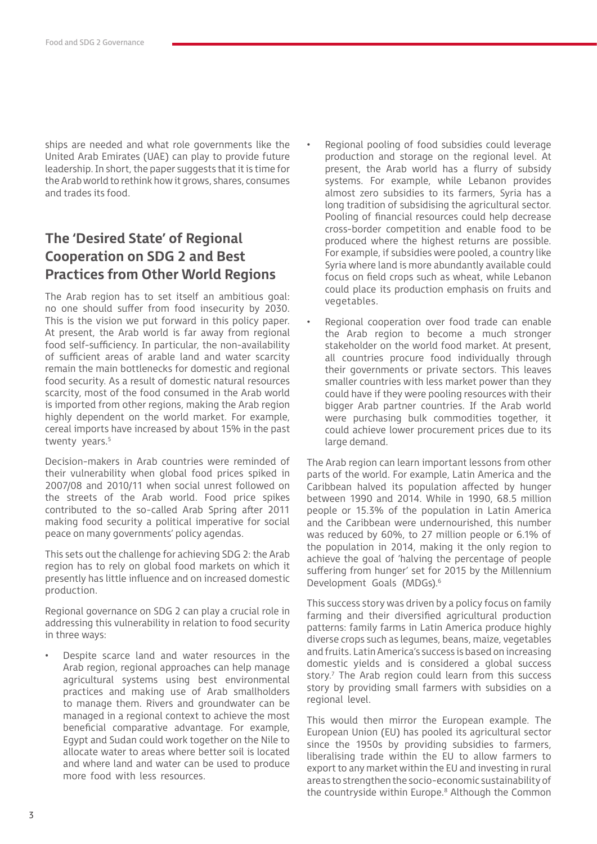ships are needed and what role governments like the United Arab Emirates (UAE) can play to provide future leadership. In short, the paper suggests that it is time for the Arab world to rethink how it grows, shares, consumes and trades its food.

# **The 'Desired State' of Regional Cooperation on SDG 2 and Best Practices from Other World Regions**

The Arab region has to set itself an ambitious goal: no one should suffer from food insecurity by 2030. This is the vision we put forward in this policy paper. At present, the Arab world is far away from regional food self-sufficiency. In particular, the non-availability of sufficient areas of arable land and water scarcity remain the main bottlenecks for domestic and regional food security. As a result of domestic natural resources scarcity, most of the food consumed in the Arab world is imported from other regions, making the Arab region highly dependent on the world market. For example, cereal imports have increased by about 15% in the past twenty years.<sup>5</sup>

Decision-makers in Arab countries were reminded of their vulnerability when global food prices spiked in 2007/08 and 2010/11 when social unrest followed on the streets of the Arab world. Food price spikes contributed to the so-called Arab Spring after 2011 making food security a political imperative for social peace on many governments' policy agendas.

This sets out the challenge for achieving SDG 2: the Arab region has to rely on global food markets on which it presently has little influence and on increased domestic production.

Regional governance on SDG 2 can play a crucial role in addressing this vulnerability in relation to food security in three ways:

Despite scarce land and water resources in the Arab region, regional approaches can help manage agricultural systems using best environmental practices and making use of Arab smallholders to manage them. Rivers and groundwater can be managed in a regional context to achieve the most beneficial comparative advantage. For example, Egypt and Sudan could work together on the Nile to allocate water to areas where better soil is located and where land and water can be used to produce more food with less resources.

- Regional pooling of food subsidies could leverage production and storage on the regional level. At present, the Arab world has a flurry of subsidy systems. For example, while Lebanon provides almost zero subsidies to its farmers, Syria has a long tradition of subsidising the agricultural sector. Pooling of financial resources could help decrease cross-border competition and enable food to be produced where the highest returns are possible. For example, if subsidies were pooled, a country like Syria where land is more abundantly available could focus on field crops such as wheat, while Lebanon could place its production emphasis on fruits and vegetables.
- Regional cooperation over food trade can enable the Arab region to become a much stronger stakeholder on the world food market. At present, all countries procure food individually through their governments or private sectors. This leaves smaller countries with less market power than they could have if they were pooling resources with their bigger Arab partner countries. If the Arab world were purchasing bulk commodities together, it could achieve lower procurement prices due to its large demand.

The Arab region can learn important lessons from other parts of the world. For example, Latin America and the Caribbean halved its population affected by hunger between 1990 and 2014. While in 1990, 68.5 million people or 15.3% of the population in Latin America and the Caribbean were undernourished, this number was reduced by 60%, to 27 million people or 6.1% of the population in 2014, making it the only region to achieve the goal of 'halving the percentage of people suffering from hunger' set for 2015 by the Millennium Development Goals (MDGs).6

This success story was driven by a policy focus on family farming and their diversified agricultural production patterns: family farms in Latin America produce highly diverse crops such as legumes, beans, maize, vegetables and fruits. Latin America's success is based on increasing domestic yields and is considered a global success story.<sup>7</sup> The Arab region could learn from this success story by providing small farmers with subsidies on a regional level.

This would then mirror the European example. The European Union (EU) has pooled its agricultural sector since the 1950s by providing subsidies to farmers, liberalising trade within the EU to allow farmers to export to any market within the EU and investing in rural areas to strengthen the socio-economic sustainability of the countryside within Europe.<sup>8</sup> Although the Common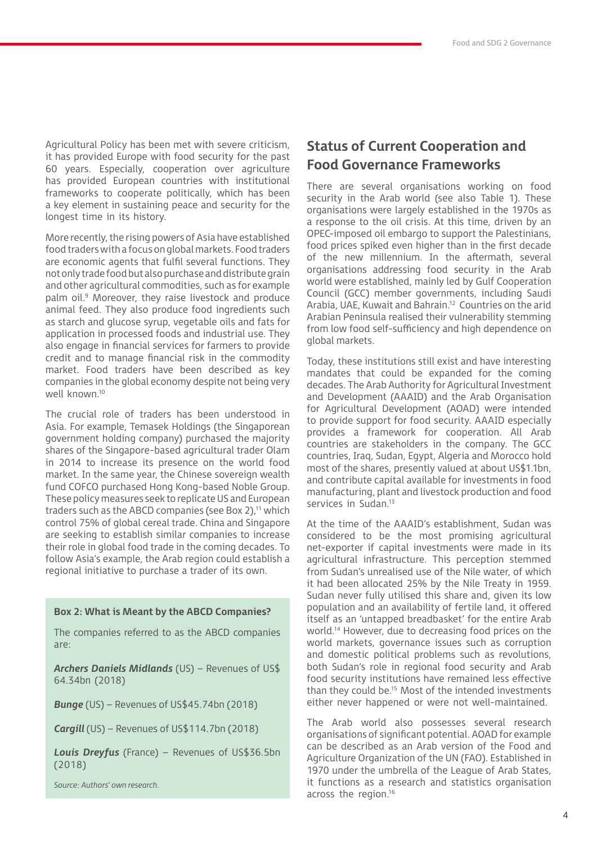Agricultural Policy has been met with severe criticism, it has provided Europe with food security for the past 60 years. Especially, cooperation over agriculture has provided European countries with institutional frameworks to cooperate politically, which has been a key element in sustaining peace and security for the longest time in its history.

More recently, the rising powers of Asia have established food traders with a focus on global markets. Food traders are economic agents that fulfil several functions. They not only trade food but also purchase and distribute grain and other agricultural commodities, such as for example palm oil.9 Moreover, they raise livestock and produce animal feed. They also produce food ingredients such as starch and glucose syrup, vegetable oils and fats for application in processed foods and industrial use. They also engage in financial services for farmers to provide credit and to manage financial risk in the commodity market. Food traders have been described as key companies in the global economy despite not being very well known.10

The crucial role of traders has been understood in Asia. For example, Temasek Holdings (the Singaporean government holding company) purchased the majority shares of the Singapore-based agricultural trader Olam in 2014 to increase its presence on the world food market. In the same year, the Chinese sovereign wealth fund COFCO purchased Hong Kong-based Noble Group. These policy measures seek to replicate US and European traders such as the ABCD companies (see Box 2),<sup>11</sup> which control 75% of global cereal trade. China and Singapore are seeking to establish similar companies to increase their role in global food trade in the coming decades. To follow Asia's example, the Arab region could establish a regional initiative to purchase a trader of its own.

The companies referred to as the ABCD companies are:

*Archers Daniels Midlands* (US) – Revenues of US\$ 64.34bn (2018)

*Bunge* (US) – Revenues of US\$45.74bn (2018)

*Cargill* (US) – Revenues of US\$114.7bn (2018)

*Louis Dreyfus* (France) – Revenues of US\$36.5bn (2018)

*Source: Authors' own research.*

# **Status of Current Cooperation and Food Governance Frameworks**

There are several organisations working on food security in the Arab world (see also Table 1). These organisations were largely established in the 1970s as a response to the oil crisis. At this time, driven by an OPEC-imposed oil embargo to support the Palestinians, food prices spiked even higher than in the first decade of the new millennium. In the aftermath, several organisations addressing food security in the Arab world were established, mainly led by Gulf Cooperation Council (GCC) member governments, including Saudi Arabia, UAE, Kuwait and Bahrain.12 Countries on the arid Arabian Peninsula realised their vulnerability stemming from low food self-sufficiency and high dependence on global markets.

Today, these institutions still exist and have interesting mandates that could be expanded for the coming decades. The Arab Authority for Agricultural Investment and Development (AAAID) and the Arab Organisation for Agricultural Development (AOAD) were intended to provide support for food security. AAAID especially provides a framework for cooperation. All Arab countries are stakeholders in the company. The GCC countries, Iraq, Sudan, Egypt, Algeria and Morocco hold most of the shares, presently valued at about US\$1.1bn, and contribute capital available for investments in food manufacturing, plant and livestock production and food services in Sudan.<sup>13</sup>

At the time of the AAAID's establishment, Sudan was considered to be the most promising agricultural net-exporter if capital investments were made in its agricultural infrastructure. This perception stemmed from Sudan's unrealised use of the Nile water, of which it had been allocated 25% by the Nile Treaty in 1959. Sudan never fully utilised this share and, given its low population and an availability of fertile land, it offered itself as an 'untapped breadbasket' for the entire Arab world.14 However, due to decreasing food prices on the world markets, governance issues such as corruption and domestic political problems such as revolutions, both Sudan's role in regional food security and Arab food security institutions have remained less effective than they could be.15 Most of the intended investments either never happened or were not well-maintained. **Box 2: What is Meant by the ABCD Companies?**<br>
The companies referred to as the ABCD companies<br>
The companies referred to as the ABCD companies<br>
world.<sup>14</sup> However, due to decreasing food prices on the<br>
world and ameters.

The Arab world also possesses several research organisations of significant potential. AOAD for example can be described as an Arab version of the Food and Agriculture Organization of the UN (FAO). Established in 1970 under the umbrella of the League of Arab States, it functions as a research and statistics organisation across the region.16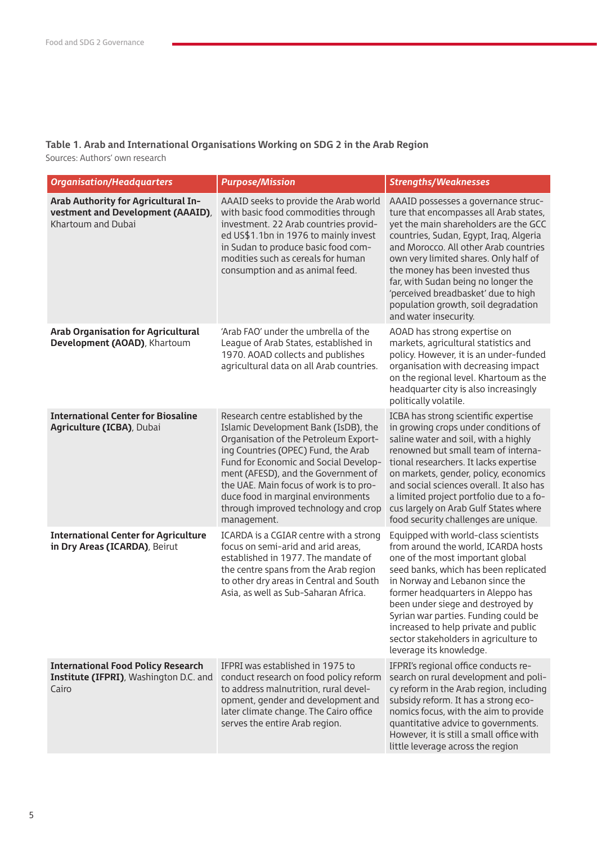**Table 1. Arab and International Organisations Working on SDG 2 in the Arab Region** Sources: Authors' own research

| <b>Organisation/Headquarters</b>                                                               | <b>Purpose/Mission</b>                                                                                                                                                                                                                                                                                                                                                            | <b>Strengths/Weaknesses</b>                                                                                                                                                                                                                                                                                                                                                                                                          |
|------------------------------------------------------------------------------------------------|-----------------------------------------------------------------------------------------------------------------------------------------------------------------------------------------------------------------------------------------------------------------------------------------------------------------------------------------------------------------------------------|--------------------------------------------------------------------------------------------------------------------------------------------------------------------------------------------------------------------------------------------------------------------------------------------------------------------------------------------------------------------------------------------------------------------------------------|
| Arab Authority for Agricultural In-<br>vestment and Development (AAAID),<br>Khartoum and Dubai | AAAID seeks to provide the Arab world<br>with basic food commodities through<br>investment. 22 Arab countries provid-<br>ed US\$1.1bn in 1976 to mainly invest<br>in Sudan to produce basic food com-<br>modities such as cereals for human<br>consumption and as animal feed.                                                                                                    | AAAID possesses a governance struc-<br>ture that encompasses all Arab states,<br>yet the main shareholders are the GCC<br>countries, Sudan, Egypt, Iraq, Algeria<br>and Morocco. All other Arab countries<br>own very limited shares. Only half of<br>the money has been invested thus<br>far, with Sudan being no longer the<br>'perceived breadbasket' due to high<br>population growth, soil degradation<br>and water insecurity. |
| <b>Arab Organisation for Agricultural</b><br>Development (AOAD), Khartoum                      | 'Arab FAO' under the umbrella of the<br>League of Arab States, established in<br>1970. AOAD collects and publishes<br>agricultural data on all Arab countries.                                                                                                                                                                                                                    | AOAD has strong expertise on<br>markets, agricultural statistics and<br>policy. However, it is an under-funded<br>organisation with decreasing impact<br>on the regional level. Khartoum as the<br>headquarter city is also increasingly<br>politically volatile.                                                                                                                                                                    |
| <b>International Center for Biosaline</b><br>Agriculture (ICBA), Dubai                         | Research centre established by the<br>Islamic Development Bank (IsDB), the<br>Organisation of the Petroleum Export-<br>ing Countries (OPEC) Fund, the Arab<br>Fund for Economic and Social Develop-<br>ment (AFESD), and the Government of<br>the UAE. Main focus of work is to pro-<br>duce food in marginal environments<br>through improved technology and crop<br>management. | ICBA has strong scientific expertise<br>in growing crops under conditions of<br>saline water and soil, with a highly<br>renowned but small team of interna-<br>tional researchers. It lacks expertise<br>on markets, gender, policy, economics<br>and social sciences overall. It also has<br>a limited project portfolio due to a fo-<br>cus largely on Arab Gulf States where<br>food security challenges are unique.              |
| <b>International Center for Agriculture</b><br>in Dry Areas (ICARDA), Beirut                   | ICARDA is a CGIAR centre with a strong<br>focus on semi-arid and arid areas,<br>established in 1977. The mandate of<br>the centre spans from the Arab region<br>to other dry areas in Central and South<br>Asia, as well as Sub-Saharan Africa.                                                                                                                                   | Equipped with world-class scientists<br>from around the world, ICARDA hosts<br>one of the most important global<br>seed banks, which has been replicated<br>in Norway and Lebanon since the<br>former headquarters in Aleppo has<br>been under siege and destroyed by<br>Syrian war parties. Funding could be<br>increased to help private and public<br>sector stakeholders in agriculture to<br>leverage its knowledge.            |
| <b>International Food Policy Research</b><br>Institute (IFPRI), Washington D.C. and<br>Cairo   | IFPRI was established in 1975 to<br>conduct research on food policy reform<br>to address malnutrition, rural devel-<br>opment, gender and development and<br>later climate change. The Cairo office<br>serves the entire Arab region.                                                                                                                                             | IFPRI's regional office conducts re-<br>search on rural development and poli-<br>cy reform in the Arab region, including<br>subsidy reform. It has a strong eco-<br>nomics focus, with the aim to provide<br>quantitative advice to governments.<br>However, it is still a small office with<br>little leverage across the region                                                                                                    |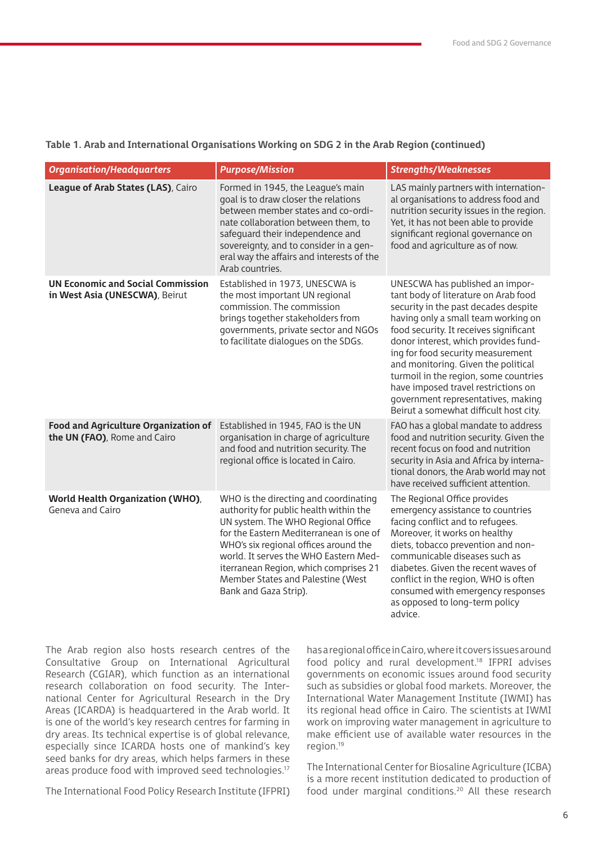| <b>Organisation/Headquarters</b>                                            | <b>Purpose/Mission</b>                                                                                                                                                                                                                                                                                                                                    | <b>Strengths/Weaknesses</b>                                                                                                                                                                                                                                                                                                                                                                                                                                                          |
|-----------------------------------------------------------------------------|-----------------------------------------------------------------------------------------------------------------------------------------------------------------------------------------------------------------------------------------------------------------------------------------------------------------------------------------------------------|--------------------------------------------------------------------------------------------------------------------------------------------------------------------------------------------------------------------------------------------------------------------------------------------------------------------------------------------------------------------------------------------------------------------------------------------------------------------------------------|
| League of Arab States (LAS), Cairo                                          | Formed in 1945, the League's main<br>goal is to draw closer the relations<br>between member states and co-ordi-<br>nate collaboration between them, to<br>safequard their independence and<br>sovereignty, and to consider in a gen-<br>eral way the affairs and interests of the<br>Arab countries.                                                      | LAS mainly partners with internation-<br>al organisations to address food and<br>nutrition security issues in the region.<br>Yet, it has not been able to provide<br>significant regional governance on<br>food and agriculture as of now.                                                                                                                                                                                                                                           |
| <b>UN Economic and Social Commission</b><br>in West Asia (UNESCWA), Beirut  | Established in 1973, UNESCWA is<br>the most important UN regional<br>commission. The commission<br>brings together stakeholders from<br>governments, private sector and NGOs<br>to facilitate dialogues on the SDGs.                                                                                                                                      | UNESCWA has published an impor-<br>tant body of literature on Arab food<br>security in the past decades despite<br>having only a small team working on<br>food security. It receives significant<br>donor interest, which provides fund-<br>ing for food security measurement<br>and monitoring. Given the political<br>turmoil in the region, some countries<br>have imposed travel restrictions on<br>government representatives, making<br>Beirut a somewhat difficult host city. |
| <b>Food and Agriculture Organization of</b><br>the UN (FAO), Rome and Cairo | Established in 1945, FAO is the UN<br>organisation in charge of agriculture<br>and food and nutrition security. The<br>regional office is located in Cairo.                                                                                                                                                                                               | FAO has a global mandate to address<br>food and nutrition security. Given the<br>recent focus on food and nutrition<br>security in Asia and Africa by interna-<br>tional donors, the Arab world may not<br>have received sufficient attention.                                                                                                                                                                                                                                       |
| World Health Organization (WHO),<br>Geneva and Cairo                        | WHO is the directing and coordinating<br>authority for public health within the<br>UN system. The WHO Regional Office<br>for the Eastern Mediterranean is one of<br>WHO's six regional offices around the<br>world. It serves the WHO Eastern Med-<br>iterranean Region, which comprises 21<br>Member States and Palestine (West<br>Bank and Gaza Strip). | The Regional Office provides<br>emergency assistance to countries<br>facing conflict and to refugees.<br>Moreover, it works on healthy<br>diets, tobacco prevention and non-<br>communicable diseases such as<br>diabetes. Given the recent waves of<br>conflict in the region, WHO is often<br>consumed with emergency responses<br>as opposed to long-term policy<br>advice.                                                                                                       |

**Table 1. Arab and International Organisations Working on SDG 2 in the Arab Region (continued)**

The Arab region also hosts research centres of the hasaregionaloffice in Cairo, where it covers issues around<br>
Consultative Group on International Agricultural food policy and rural development.<sup>18</sup> IFPRI advises<br>
Research Consultative Group on International Agricultural Research (CGIAR), which function as an international research collaboration on food security. The International Center for Agricultural Research in the Dry Areas (ICARDA) is headquartered in the Arab world. It is one of the world's key research centres for farming in dry areas. Its technical expertise is of global relevance, especially since ICARDA hosts one of mankind's key seed banks for dry areas, which helps farmers in these areas produce food with improved seed technologies.<sup>17</sup>

has a regional office in Cairo, where it covers issues around food policy and rural development.18 IFPRI advises governments on economic issues around food security such as subsidies or global food markets. Moreover, the International Water Management Institute (IWMI) has its regional head office in Cairo. The scientists at IWMI work on improving water management in agriculture to make efficient use of available water resources in the region.19

The International Center for Biosaline Agriculture (ICBA) is a more recent institution dedicated to production of food under marginal conditions.20 All these research

The International Food Policy Research Institute (IFPRI)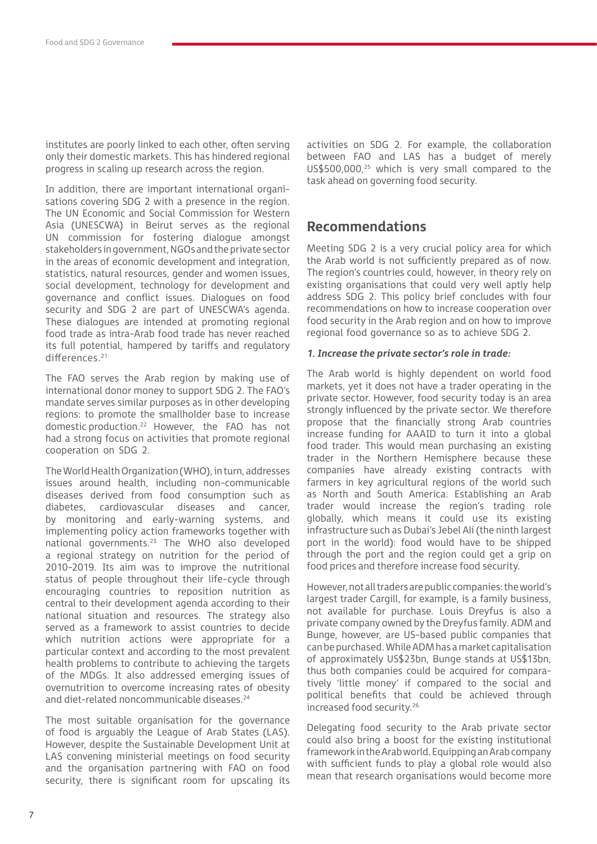institutes are poorly linked to each other, often serving only their domestic markets. This has hindered regional progress in scaling up research across the region.

In addition, there are important international organisations covering SDG 2 with a presence in the region. The UN Economic and Social Commission for Western Asia (UNESCWA) in Beirut serves as the regional UN commission for fostering dialogue amongst stakeholders in government, NGOs and the private sector in the areas of economic development and integration, statistics, natural resources, gender and women issues, social development, technology for development and governance and conflict issues. Dialogues on food security and SDG 2 are part of UNESCWA's agenda. These dialogues are intended at promoting regional food trade as intra-Arab food trade has never reached its full potential, hampered by tariffs and regulatory differences.<sup>21</sup>

The FAO serves the Arab region by making use of international donor money to support SDG 2. The FAO's mandate serves similar purposes as in other developing regions: to promote the smallholder base to increase domestic production.22 However, the FAO has not had a strong focus on activities that promote regional cooperation on SDG 2.

The World Health Organization (WHO), in turn, addresses issues around health, including non-communicable diseases derived from food consumption such as diabetes, cardiovascular diseases and cancer, by monitoring and early-warning systems, and implementing policy action frameworks together with national governments.23 The WHO also developed a regional strategy on nutrition for the period of 2010-2019. Its aim was to improve the nutritional status of people throughout their life-cycle through encouraging countries to reposition nutrition as central to their development agenda according to their national situation and resources. The strategy also served as a framework to assist countries to decide which nutrition actions were appropriate for a particular context and according to the most prevalent health problems to contribute to achieving the targets of the MDGs. It also addressed emerging issues of overnutrition to overcome increasing rates of obesity and diet-related noncommunicable diseases.<sup>24</sup>

The most suitable organisation for the governance of food is arguably the League of Arab States (LAS). However, despite the Sustainable Development Unit at LAS convening ministerial meetings on food security and the organisation partnering with FAO on food security, there is significant room for upscaling its

activities on SDG 2. For example, the collaboration between FAO and LAS has a budget of merely US\$500,000,25 which is very small compared to the task ahead on governing food security.

# **Recommendations**

Meeting SDG 2 is a very crucial policy area for which the Arab world is not sufficiently prepared as of now. The region's countries could, however, in theory rely on existing organisations that could very well aptly help address SDG 2. This policy brief concludes with four recommendations on how to increase cooperation over food security in the Arab region and on how to improve regional food governance so as to achieve SDG 2.

### *1. Increase the private sector's role in trade:*

The Arab world is highly dependent on world food markets, yet it does not have a trader operating in the private sector. However, food security today is an area strongly influenced by the private sector. We therefore propose that the financially strong Arab countries increase funding for AAAID to turn it into a global food trader. This would mean purchasing an existing trader in the Northern Hemisphere because these companies have already existing contracts with farmers in key agricultural regions of the world such as North and South America. Establishing an Arab trader would increase the region's trading role globally, which means it could use its existing infrastructure such as Dubai's Jebel Ali (the ninth largest port in the world): food would have to be shipped through the port and the region could get a grip on food prices and therefore increase food security.

However, not all traders are public companies: the world's largest trader Cargill, for example, is a family business, not available for purchase. Louis Dreyfus is also a private company owned by the Dreyfus family. ADM and Bunge, however, are US-based public companies that can be purchased. While ADM has a market capitalisation of approximately US\$23bn, Bunge stands at US\$13bn, thus both companies could be acquired for comparatively 'little money' if compared to the social and political benefits that could be achieved through increased food security.<sup>26</sup>

Delegating food security to the Arab private sector could also bring a boost for the existing institutional framework in the Arab world. Equipping an Arab company with sufficient funds to play a global role would also mean that research organisations would become more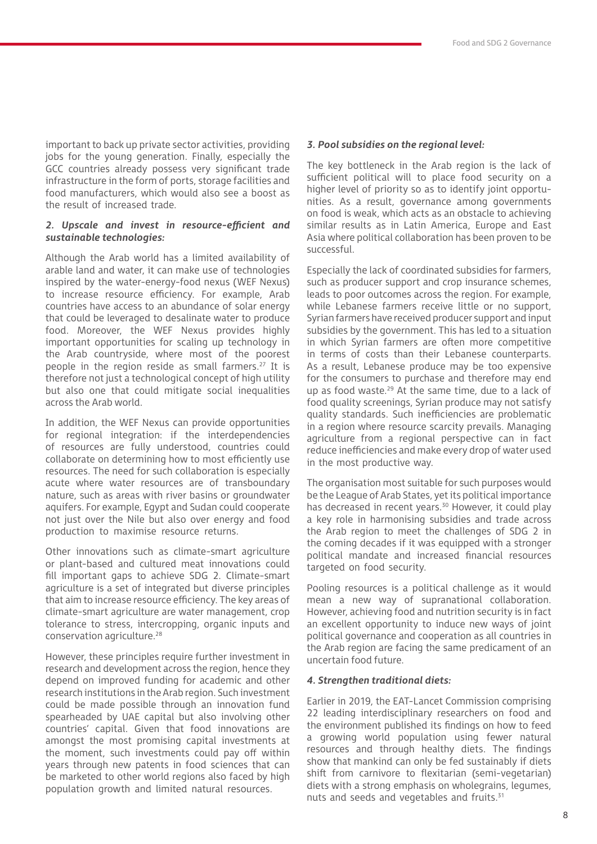important to back up private sector activities, providing jobs for the young generation. Finally, especially the GCC countries already possess very significant trade infrastructure in the form of ports, storage facilities and food manufacturers, which would also see a boost as the result of increased trade.

### *2. Upscale and invest in resource-efficient and sustainable technologies:*

Although the Arab world has a limited availability of arable land and water, it can make use of technologies inspired by the water-energy-food nexus (WEF Nexus) to increase resource efficiency. For example, Arab countries have access to an abundance of solar energy that could be leveraged to desalinate water to produce food. Moreover, the WEF Nexus provides highly important opportunities for scaling up technology in the Arab countryside, where most of the poorest people in the region reside as small farmers.<sup>27</sup> It is therefore not just a technological concept of high utility but also one that could mitigate social inequalities across the Arab world.

In addition, the WEF Nexus can provide opportunities for regional integration: if the interdependencies of resources are fully understood, countries could collaborate on determining how to most efficiently use resources. The need for such collaboration is especially acute where water resources are of transboundary nature, such as areas with river basins or groundwater aquifers. For example, Egypt and Sudan could cooperate not just over the Nile but also over energy and food production to maximise resource returns.

Other innovations such as climate-smart agriculture or plant-based and cultured meat innovations could fill important gaps to achieve SDG 2. Climate-smart agriculture is a set of integrated but diverse principles that aim to increase resource efficiency. The key areas of climate-smart agriculture are water management, crop tolerance to stress, intercropping, organic inputs and conservation agriculture.28

However, these principles require further investment in research and development across the region, hence they depend on improved funding for academic and other research institutions in the Arab region. Such investment could be made possible through an innovation fund spearheaded by UAE capital but also involving other countries' capital. Given that food innovations are amongst the most promising capital investments at the moment, such investments could pay off within years through new patents in food sciences that can be marketed to other world regions also faced by high population growth and limited natural resources.

### *3. Pool subsidies on the regional level:*

The key bottleneck in the Arab region is the lack of sufficient political will to place food security on a higher level of priority so as to identify joint opportunities. As a result, governance among governments on food is weak, which acts as an obstacle to achieving similar results as in Latin America, Europe and East Asia where political collaboration has been proven to be successful.

Especially the lack of coordinated subsidies for farmers, such as producer support and crop insurance schemes, leads to poor outcomes across the region. For example, while Lebanese farmers receive little or no support, Syrian farmers have received producer support and input subsidies by the government. This has led to a situation in which Syrian farmers are often more competitive in terms of costs than their Lebanese counterparts. As a result, Lebanese produce may be too expensive for the consumers to purchase and therefore may end up as food waste.<sup>29</sup> At the same time, due to a lack of food quality screenings, Syrian produce may not satisfy quality standards. Such inefficiencies are problematic in a region where resource scarcity prevails. Managing agriculture from a regional perspective can in fact reduce inefficiencies and make every drop of water used in the most productive way.

The organisation most suitable for such purposes would be the League of Arab States, yet its political importance has decreased in recent years.<sup>30</sup> However, it could play a key role in harmonising subsidies and trade across the Arab region to meet the challenges of SDG 2 in the coming decades if it was equipped with a stronger political mandate and increased financial resources targeted on food security.

Pooling resources is a political challenge as it would mean a new way of supranational collaboration. However, achieving food and nutrition security is in fact an excellent opportunity to induce new ways of joint political governance and cooperation as all countries in the Arab region are facing the same predicament of an uncertain food future.

### *4. Strengthen traditional diets:*

Earlier in 2019, the EAT-Lancet Commission comprising 22 leading interdisciplinary researchers on food and the environment published its findings on how to feed a growing world population using fewer natural resources and through healthy diets. The findings show that mankind can only be fed sustainably if diets shift from carnivore to flexitarian (semi-vegetarian) diets with a strong emphasis on wholegrains, legumes, nuts and seeds and vegetables and fruits.<sup>31</sup>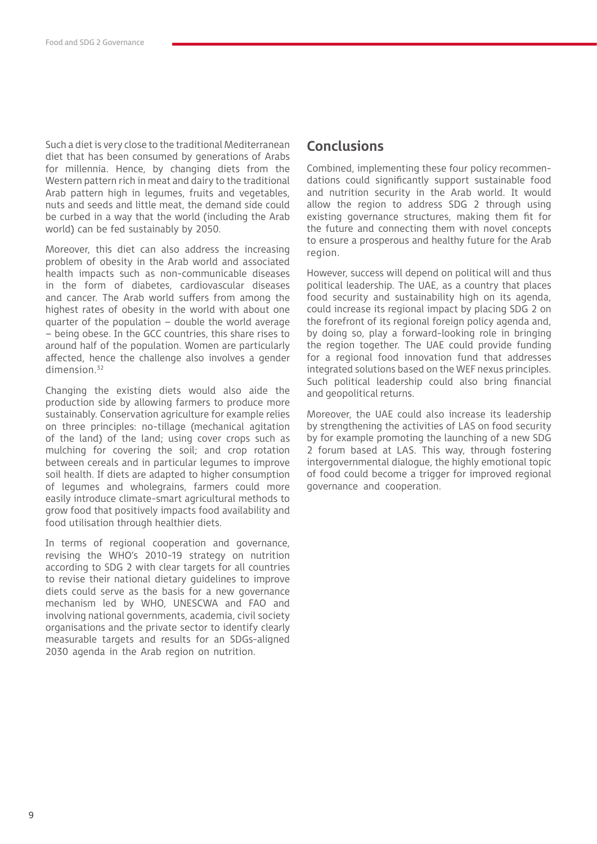Such a diet is very close to the traditional Mediterranean diet that has been consumed by generations of Arabs for millennia. Hence, by changing diets from the Western pattern rich in meat and dairy to the traditional Arab pattern high in legumes, fruits and vegetables, nuts and seeds and little meat, the demand side could be curbed in a way that the world (including the Arab world) can be fed sustainably by 2050.

Moreover, this diet can also address the increasing problem of obesity in the Arab world and associated health impacts such as non-communicable diseases in the form of diabetes, cardiovascular diseases and cancer. The Arab world suffers from among the highest rates of obesity in the world with about one quarter of the population – double the world average – being obese. In the GCC countries, this share rises to around half of the population. Women are particularly affected, hence the challenge also involves a gender  $dimension<sup>32</sup>$ 

Changing the existing diets would also aide the production side by allowing farmers to produce more sustainably. Conservation agriculture for example relies on three principles: no-tillage (mechanical agitation of the land) of the land; using cover crops such as mulching for covering the soil; and crop rotation between cereals and in particular legumes to improve soil health. If diets are adapted to higher consumption of legumes and wholegrains, farmers could more easily introduce climate-smart agricultural methods to grow food that positively impacts food availability and food utilisation through healthier diets.

In terms of regional cooperation and governance, revising the WHO's 2010-19 strategy on nutrition according to SDG 2 with clear targets for all countries to revise their national dietary guidelines to improve diets could serve as the basis for a new governance mechanism led by WHO, UNESCWA and FAO and involving national governments, academia, civil society organisations and the private sector to identify clearly measurable targets and results for an SDGs-aligned 2030 agenda in the Arab region on nutrition.

## **Conclusions**

Combined, implementing these four policy recommendations could significantly support sustainable food and nutrition security in the Arab world. It would allow the region to address SDG 2 through using existing governance structures, making them fit for the future and connecting them with novel concepts to ensure a prosperous and healthy future for the Arab region.

However, success will depend on political will and thus political leadership. The UAE, as a country that places food security and sustainability high on its agenda, could increase its regional impact by placing SDG 2 on the forefront of its regional foreign policy agenda and, by doing so, play a forward-looking role in bringing the region together. The UAE could provide funding for a regional food innovation fund that addresses integrated solutions based on the WEF nexus principles. Such political leadership could also bring financial and geopolitical returns.

Moreover, the UAE could also increase its leadership by strengthening the activities of LAS on food security by for example promoting the launching of a new SDG 2 forum based at LAS. This way, through fostering intergovernmental dialogue, the highly emotional topic of food could become a trigger for improved regional governance and cooperation.